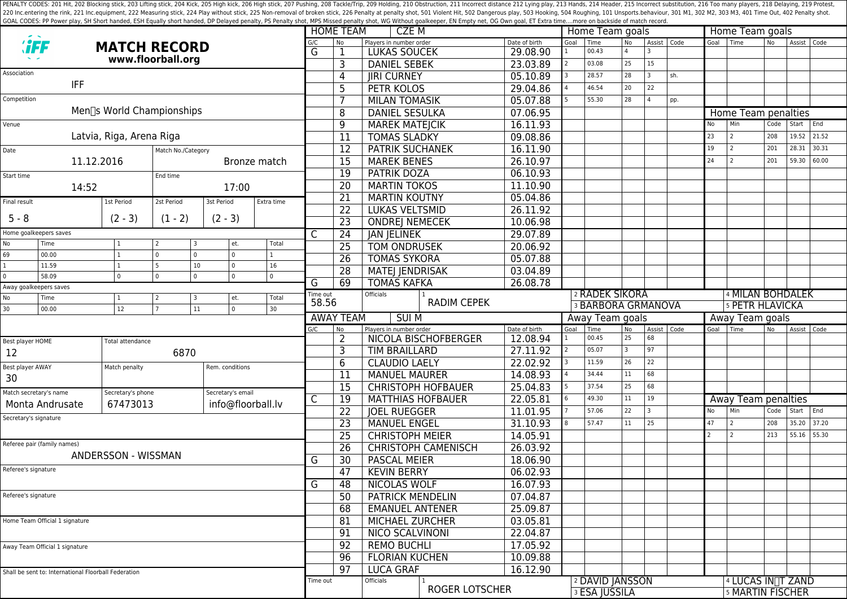PENALTY CODES: 201 Hit, 202 Blocking stick, 203 Lifting stick, 203 Kick, 205 High kick, 205 High kick, 205 High stick, 206 High stick, 207 Pushing, 208 Tackle/Trip, 209 Holding, 210 Obstruction, 211 Incorrect distance 212 220 Inc.entering the rink, 221 Inc.equipment, 222 Measuring stick, 224 Play without stick, 225 Non-removal of broken stick, 225 Poralty shot, 501 Violent Hit, 502 Dangerous play, 503 Hooking, 504 Roughing, 101 Unsports.beh GOAL CODES: PP Power play, SH Short handed, ESH Equally short handed, DP Delayed penalty, PS Penalty shot, MPS Missed penalty shot, WG Without goalkeeper, EN Empty net, OG Own goal, ET Extra time....more on backside of mat

|                                                      |                             |                           |                              |                       | <b>HOME TEAM</b>  | CZE M           |                       |                                                                      |                            | Home Team goals           |                 |                           |                             | Home Team goals         |     |                        |                                |           |               |       |  |
|------------------------------------------------------|-----------------------------|---------------------------|------------------------------|-----------------------|-------------------|-----------------|-----------------------|----------------------------------------------------------------------|----------------------------|---------------------------|-----------------|---------------------------|-----------------------------|-------------------------|-----|------------------------|--------------------------------|-----------|---------------|-------|--|
|                                                      |                             | <b>MATCH RECORD</b>       |                              |                       |                   | G/C<br>G        | <b>No</b>             | Players in number order                                              |                            | Date of birth             | Goal            | Time<br>00.43             | <b>No</b><br>$\overline{a}$ | Assist   Code           |     |                        | Goal Time                      | <b>No</b> | Assist   Code |       |  |
|                                                      |                             |                           | www.floorball.org            |                       |                   |                 | 1                     | <b>LUKAS SOUCEK</b>                                                  |                            | 29.08.90                  |                 | 03.08                     | 25                          | 15                      |     |                        |                                |           |               |       |  |
| Association                                          |                             |                           |                              |                       |                   |                 | 3                     | <b>DANIEL SEBEK</b>                                                  |                            | 23.03.89                  |                 | 28.57                     | 28                          | 3                       | sh. |                        |                                |           |               |       |  |
|                                                      | IFF                         |                           |                              |                       |                   |                 | 4                     | <b>JIRI CURNEY</b>                                                   |                            | 05.10.89                  |                 |                           |                             |                         |     |                        |                                |           |               |       |  |
|                                                      |                             |                           |                              |                       |                   |                 | 5                     | <b>PETR KOLOS</b>                                                    |                            | 29.04.86                  |                 | 46.54                     | 20                          | 22                      |     |                        |                                |           |               |       |  |
| Competition                                          |                             | Men∏s World Championships |                              |                       |                   |                 | 7                     | <b>MILAN TOMASIK</b>                                                 |                            | 05.07.88                  |                 | 55.30                     | 28                          | $\overline{a}$          | pp. |                        |                                |           |               |       |  |
|                                                      |                             |                           |                              |                       |                   |                 | 8                     | <b>DANIEL SESULKA</b>                                                |                            | 07.06.95                  |                 |                           |                             |                         |     |                        | Home Team penalties            |           |               |       |  |
| Venue                                                |                             |                           |                              |                       |                   |                 | 9                     | <b>MAREK MATEJCIK</b>                                                |                            | 16.11.93                  |                 |                           |                             |                         |     | No                     | Min                            | Code      | Start         | End   |  |
|                                                      |                             | Latvia, Riga, Arena Riga  |                              |                       |                   |                 | $\overline{11}$       | <b>TOMAS SLADKY</b>                                                  |                            | 09.08.86                  |                 |                           |                             |                         |     | 23                     | 2                              | 208       | 19.52         | 21.52 |  |
| Date<br>Match No./Category                           |                             |                           |                              |                       |                   |                 | $\overline{12}$       | <b>PATRIK SUCHANEK</b>                                               |                            | 16.11.90                  |                 |                           |                             |                         |     | 19                     | l 2                            | 201       | 28.31         | 30.31 |  |
|                                                      | 11.12.2016                  |                           |                              |                       | Bronze match      |                 | 15                    | <b>MAREK BENES</b>                                                   |                            | 26.10.97                  |                 |                           |                             |                         |     | 24                     | l 2                            | 201       | 59.30         | 60.00 |  |
| Start time                                           |                             |                           | End time                     |                       |                   |                 | 19                    | 06.10.93<br><b>PATRIK DOZA</b>                                       |                            |                           |                 |                           |                             |                         |     |                        |                                |           |               |       |  |
| 17:00<br>14:52                                       |                             |                           |                              |                       |                   | $\overline{20}$ | <b>MARTIN TOKOS</b>   | 11.10.90                                                             |                            |                           |                 |                           |                             |                         |     |                        |                                |           |               |       |  |
| Final result                                         |                             | 1st Period                | 2st Period                   | 3st Period            | Extra time        |                 | 21                    | <b>MARTIN KOUTNY</b>                                                 |                            | 05.04.86                  |                 |                           |                             |                         |     |                        |                                |           |               |       |  |
|                                                      |                             |                           |                              | $(2 - 3)$             |                   |                 | 22                    | <b>LUKAS VELTSMID</b>                                                |                            | 26.11.92                  |                 |                           |                             |                         |     |                        |                                |           |               |       |  |
| $5 - 8$                                              |                             | $(2 - 3)$                 | $(1 - 2)$                    |                       |                   |                 | $\overline{23}$       | 10.06.98<br><b>ONDREJ NEMECEK</b>                                    |                            |                           |                 |                           |                             |                         |     |                        |                                |           |               |       |  |
|                                                      | Home goalkeepers saves      |                           |                              |                       |                   | С               | 24                    | <b>JAN JELINEK</b>                                                   |                            | 29.07.89                  |                 |                           |                             |                         |     |                        |                                |           |               |       |  |
| No                                                   | Time<br>00.00               |                           | 3<br>$\Omega$<br>$\mathbf 0$ | et.<br>$\overline{0}$ | Total             |                 | $\overline{25}$       | <b>TOM ONDRUSEK</b>                                                  | 20.06.92                   |                           |                 |                           |                             |                         |     |                        |                                |           |               |       |  |
| 69<br>$\mathbf{1}$                                   | 11.59                       |                           | 5                            | $\overline{0}$<br>10  | 16                |                 | $\overline{26}$       | <b>TOMAS SYKORA</b>                                                  |                            | 05.07.88                  |                 |                           |                             |                         |     |                        |                                |           |               |       |  |
| $\mathbf 0$                                          | 58.09                       | $\Omega$                  | $\Omega$<br>$\Omega$         | $\overline{0}$        | $\mathbf{0}$      |                 | $\overline{28}$       | <b>MATEJ JENDRISAK</b>                                               |                            | 03.04.89                  |                 |                           |                             |                         |     |                        |                                |           |               |       |  |
| Away goalkeepers saves                               |                             |                           |                              |                       | G                 | 69              | <b>TOMAS KAFKA</b>    |                                                                      | 26.08.78                   |                           |                 |                           |                             |                         |     |                        |                                |           |               |       |  |
| No                                                   | Time                        |                           | 3                            | et.                   | Total             | Time out        |                       | Officials                                                            |                            |                           | 2 RADEK SIKORA  |                           |                             |                         |     | 4 MILAN BOHDALEK       |                                |           |               |       |  |
| 30                                                   | 00.00                       | 12                        |                              | 11<br>$\overline{0}$  | 30                | 58.56           | <b>RADIM CEPEK</b>    |                                                                      |                            |                           |                 | <b>3 BARBORA GRMANOVA</b> |                             |                         |     | <b>5 PETR HLAVICKA</b> |                                |           |               |       |  |
|                                                      |                             |                           |                              |                       |                   |                 | <b>AWAY TEAM</b>      | <b>SUI M</b>                                                         |                            |                           | Away Team goals |                           |                             |                         |     | Away Team goals        |                                |           |               |       |  |
|                                                      |                             |                           |                              |                       |                   | G/C             | <b>No</b>             | Players in number order                                              | NICOLA BISCHOFBERGER       | Date of birth<br>12.08.94 | Goal            | Time<br>00.45             | No<br>25                    | Assist   Code<br>68     |     | Goal                   | I Time                         | No        | Assist Code   |       |  |
| Best player HOME                                     |                             | Total attendance          |                              |                       |                   |                 | 2<br>3                | TIM BRAILLARD                                                        |                            | 27.11.92                  |                 | 05.07                     | $\overline{3}$              | 97                      |     |                        |                                |           |               |       |  |
| 12                                                   |                             | 6870                      |                              |                       |                   |                 | 6                     | <b>CLAUDIO LAELY</b>                                                 |                            | 22.02.92                  |                 | 11.59                     | 26                          | 22                      |     |                        |                                |           |               |       |  |
| Best player AWAY                                     |                             | Match penalty             |                              | Rem. conditions       |                   |                 | <b>MANUEL MAURER</b>  |                                                                      | 14.08.93                   |                           | 34.44           | 11                        | 68                          |                         |     |                        |                                |           |               |       |  |
| 30                                                   |                             |                           |                              |                       |                   |                 | 11                    |                                                                      |                            |                           |                 | 37.54                     | 25                          | 68                      |     |                        |                                |           |               |       |  |
| Match secretary's name                               |                             | Secretary's phone         |                              | Secretary's email     |                   | С               | 15                    |                                                                      | <b>CHRISTOPH HOFBAUER</b>  | 25.04.83                  |                 | 49.30                     | 11                          | 19                      |     |                        |                                |           |               |       |  |
| Monta Andrusate                                      |                             | 67473013                  |                              |                       | info@floorball.lv |                 | 19                    | <b>MATTHIAS HOFBAUER</b>                                             |                            | 22.05.81                  |                 | 57.06                     | 22                          | $\overline{\mathbf{3}}$ |     | No                     | Away Team penalties<br>Min     | Code      | Start         | End   |  |
| Secretary's signature                                |                             |                           |                              |                       |                   |                 | 22                    | <b>JOEL RUEGGER</b>                                                  |                            | 11.01.95                  |                 | 57.47                     | 11                          | 25                      |     | 47                     | l 2                            | 208       | 35.20         | 37.20 |  |
|                                                      |                             |                           |                              |                       |                   |                 | 23                    | <b>MANUEL ENGEL</b>                                                  |                            | 31.10.93                  |                 |                           |                             |                         |     |                        | l 2                            |           | 55.16         |       |  |
|                                                      | Referee pair (family names) |                           |                              |                       |                   |                 | $\overline{25}$       | <b>CHRISTOPH MEIER</b>                                               |                            | 14.05.91                  |                 |                           |                             |                         |     |                        |                                | 213       |               | 55.30 |  |
|                                                      |                             | ANDERSSON - WISSMAN       |                              |                       |                   | G               | 26                    |                                                                      | <b>CHRISTOPH CAMENISCH</b> | 26.03.92                  |                 |                           |                             |                         |     |                        |                                |           |               |       |  |
| Referee's signature<br>Referee's signature           |                             |                           |                              |                       |                   |                 | 30                    | <b>PASCAL MEIER</b>                                                  |                            | 18.06.90                  |                 |                           |                             |                         |     |                        |                                |           |               |       |  |
|                                                      |                             |                           |                              |                       |                   |                 | 47                    | <b>KEVIN BERRY</b><br><b>NICOLAS WOLF</b><br><b>PATRICK MENDELIN</b> |                            | 06.02.93                  |                 |                           |                             |                         |     |                        |                                |           |               |       |  |
|                                                      |                             |                           |                              |                       |                   |                 | 48                    |                                                                      |                            | 16.07.93                  |                 |                           |                             |                         |     |                        |                                |           |               |       |  |
|                                                      |                             |                           |                              |                       |                   |                 | 50                    |                                                                      |                            | 07.04.87                  |                 |                           |                             |                         |     |                        |                                |           |               |       |  |
|                                                      |                             |                           |                              |                       |                   |                 | 68                    | <b>EMANUEL ANTENER</b>                                               |                            | 25.09.87                  |                 |                           |                             |                         |     |                        |                                |           |               |       |  |
| Home Team Official 1 signature                       |                             |                           |                              |                       |                   |                 | 81                    | MICHAEL ZURCHER<br>NICO SCALVINONI                                   |                            | 03.05.81                  |                 |                           |                             |                         |     |                        |                                |           |               |       |  |
|                                                      |                             |                           |                              |                       |                   |                 | 91                    |                                                                      |                            | 22.04.87                  |                 |                           |                             |                         |     |                        |                                |           |               |       |  |
| Away Team Official 1 signature                       |                             |                           |                              |                       |                   | 92              | <b>REMO BUCHLI</b>    |                                                                      | 17.05.92                   |                           |                 |                           |                             |                         |     |                        |                                |           |               |       |  |
|                                                      |                             |                           |                              |                       |                   | 96              | <b>FLORIAN KUCHEN</b> |                                                                      | 10.09.88                   |                           |                 |                           |                             |                         |     |                        |                                |           |               |       |  |
| Shall be sent to: International Floorball Federation |                             |                           |                              |                       |                   |                 | 97                    | <b>LUCA GRAF</b>                                                     |                            | 16.12.90                  |                 |                           |                             |                         |     |                        |                                |           |               |       |  |
|                                                      |                             |                           |                              |                       |                   | Time out        |                       | Officials                                                            |                            |                           |                 | 2 DAVID JANSSON           |                             |                         |     |                        | 4 LUCAS IN <sub>T</sub> T ZAND |           |               |       |  |
|                                                      |                             |                           |                              |                       |                   |                 |                       |                                                                      | <b>ROGER LOTSCHER</b>      |                           |                 | <b>3 ESA JUSSILA</b>      |                             |                         |     | 5 MARTIN FISCHER       |                                |           |               |       |  |